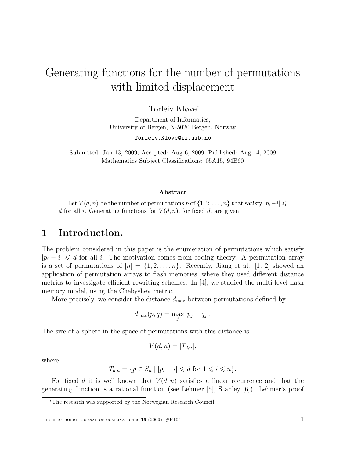# Generating functions for the number of permutations with limited displacement

Torleiv Kløve<sup>∗</sup>

Department of Informatics, University of Bergen, N-5020 Bergen, Norway

Torleiv.Klove@ii.uib.no

Submitted: Jan 13, 2009; Accepted: Aug 6, 2009; Published: Aug 14, 2009 Mathematics Subject Classifications: 05A15, 94B60

#### Abstract

Let  $V(d, n)$  be the number of permutations p of  $\{1, 2, \ldots, n\}$  that satisfy  $|p_i - i| \leq$ d for all i. Generating functions for  $V(d, n)$ , for fixed d, are given.

#### 1 Introduction.

The problem considered in this paper is the enumeration of permutations which satisfy  $|p_i - i| \le d$  for all i. The motivation comes from coding theory. A permutation array is a set of permutations of  $[n] = \{1, 2, \ldots, n\}$ . Recently, Jiang et al. [1, 2] showed an application of permutation arrays to flash memories, where they used different distance metrics to investigate efficient rewriting schemes. In [4], we studied the multi-level flash memory model, using the Chebyshev metric.

More precisely, we consider the distance  $d_{\text{max}}$  between permutations defined by

$$
d_{\max}(p,q) = \max_j |p_j - q_j|.
$$

The size of a sphere in the space of permutations with this distance is

$$
V(d, n) = |T_{d,n}|,
$$

where

$$
T_{d,n} = \{ p \in S_n \mid |p_i - i| \leq d \text{ for } 1 \leq i \leq n \}.
$$

For fixed d it is well known that  $V(d, n)$  satisfies a linear recurrence and that the generating function is a rational function (see Lehmer [5], Stanley [6]). Lehmer's proof

<sup>∗</sup>The research was supported by the Norwegian Research Council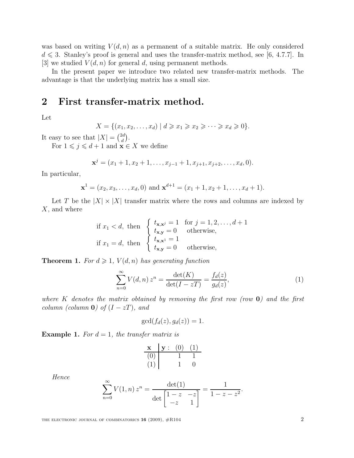was based on writing  $V(d, n)$  as a permanent of a suitable matrix. He only considered  $d \leq 3$ . Stanley's proof is general and uses the transfer-matrix method, see [6, 4.7.7]. In [3] we studied  $V(d, n)$  for general d, using permanent methods.

In the present paper we introduce two related new transfer-matrix methods. The advantage is that the underlying matrix has a small size.

#### 2 First transfer-matrix method.

Let

$$
X = \{(x_1, x_2, \dots, x_d) \mid d \geqslant x_1 \geqslant x_2 \geqslant \dots \geqslant x_d \geqslant 0\}.
$$

It easy to see that  $|X| = \binom{2d}{d}$  $\binom{2d}{d}$ .

For  $1 \leq j \leq d+1$  and  $\mathbf{x} \in X$  we define

$$
\mathbf{x}^{j} = (x_1 + 1, x_2 + 1, \dots, x_{j-1} + 1, x_{j+1}, x_{j+2}, \dots, x_d, 0).
$$

In particular,

$$
\mathbf{x}^1 = (x_2, x_3, \dots, x_d, 0)
$$
 and  $\mathbf{x}^{d+1} = (x_1 + 1, x_2 + 1, \dots, x_d + 1).$ 

Let T be the  $|X| \times |X|$  transfer matrix where the rows and columns are indexed by  $X$ , and where

if 
$$
x_1 < d
$$
, then\n
$$
\begin{cases}\n t_{\mathbf{x},\mathbf{x}^j} = 1 & \text{for } j = 1, 2, \dots, d+1 \\
 t_{\mathbf{x},\mathbf{y}} = 0 & \text{otherwise,} \\
 t_{\mathbf{x},\mathbf{x}^1} = 1 & \text{otherwise,} \\
 t_{\mathbf{x},\mathbf{y}} = 0 & \text{otherwise,}\n\end{cases}
$$

**Theorem 1.** For  $d \geq 1$ ,  $V(d, n)$  has generating function

$$
\sum_{n=0}^{\infty} V(d,n) z^n = \frac{\det(K)}{\det(I - zT)} = \frac{f_d(z)}{g_d(z)},\tag{1}
$$

.

where K denotes the matrix obtained by removing the first row (row  $\mathbf{0}$ ) and the first column (column  $\mathbf{0}$ ) of  $(I - zT)$ , and

$$
\gcd(f_d(z), g_d(z)) = 1.
$$

**Example 1.** For  $d = 1$ , the transfer matrix is

| $\mathbf x$ | $\mathbf{v}$ : | (0) | (1) |
|-------------|----------------|-----|-----|
| (0)         |                |     |     |
| (1)         |                |     |     |

Hence

$$
\sum_{n=0}^{\infty} V(1, n) z^n = \frac{\det(1)}{\det \begin{bmatrix} 1 - z & -z \\ -z & 1 \end{bmatrix}} = \frac{1}{1 - z - z^2}
$$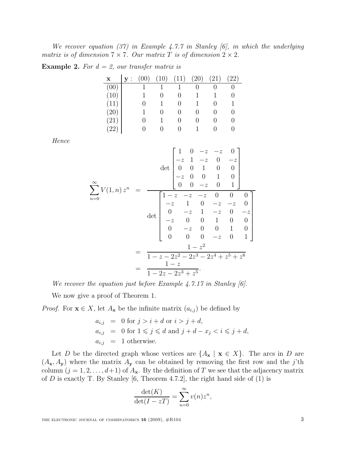We recover equation (37) in Example 4.7.7 in Stanley [6], in which the underlying matrix is of dimension  $7 \times 7$ . Our matrix T is of dimension  $2 \times 2$ .

**Example 2.** For  $d = 2$ , our transfer matrix is

| $\mathbf{X}$  | y: | (00) | (10) | (11) | (20) | (21) | $\left( 22\right)$ |
|---------------|----|------|------|------|------|------|--------------------|
| (00)          |    |      |      |      |      |      |                    |
| (10)          |    |      |      |      |      |      |                    |
| (11)          |    |      |      |      |      |      |                    |
| (20)          |    |      |      |      |      |      |                    |
| (21)          |    |      |      |      |      |      |                    |
| $^{\prime}22$ |    |      | . .  | 0    |      |      |                    |

Hence

$$
\sum_{n=0}^{\infty} V(1,n) z^n = \frac{\begin{bmatrix} 1 & 0 & -z & -z & 0 \\ -z & 1 & -z & 0 & -z \\ 0 & 0 & 1 & 0 & 0 \\ -z & 0 & 0 & 1 & 0 \\ 0 & 0 & -z & 0 & 1 \end{bmatrix}}{\det \begin{bmatrix} 1-z & -z & -z & 0 & 0 & 0 \\ -z & 1 & 0 & -z & -z & 0 \\ 0 & -z & 1 & -z & 0 & -z \\ -z & 0 & 0 & 1 & 0 & 0 \\ 0 & -z & 0 & 0 & 1 & 0 \\ 0 & 0 & 0 & -z & 0 & 1 \end{bmatrix}}
$$

$$
= \frac{1-z^2}{1-z-2z^2-2z^3-2z^4+z^5+z^6}
$$

$$
= \frac{1-z}{1-2z-2z^3+z^5}.
$$

We recover the equation just before Example 4.7.17 in Stanley [6].

We now give a proof of Theorem 1.

*Proof.* For  $\mathbf{x} \in X$ , let  $A_{\mathbf{x}}$  be the infinite matrix  $(a_{i,j})$  be defined by

$$
a_{i,j} = 0 \text{ for } j > i + d \text{ or } i > j + d,
$$
  
\n
$$
a_{i,j} = 0 \text{ for } 1 \leq j \leq d \text{ and } j + d - x_j < i \leq j + d,
$$
  
\n
$$
a_{i,j} = 1 \text{ otherwise.}
$$

Let D be the directed graph whose vertices are  $\{A_{\mathbf{x}} \mid \mathbf{x} \in X\}$ . The arcs in D are  $(A_{\mathbf{x}}, A_{\mathbf{y}})$  where the matrix  $A_{\mathbf{y}}$  can be obtained by removing the first row and the j'th column  $(j = 1, 2, \ldots, d+1)$  of  $A_{\mathbf{x}}$ . By the definition of T we see that the adjacency matrix of  $D$  is exactly T. By Stanley [6, Theorem 4.7.2], the right hand side of (1) is

$$
\frac{\det(K)}{\det(I - zT)} = \sum_{n=0}^{\infty} v(n)z^n,
$$

THE ELECTRONIC JOURNAL OF COMBINATORICS  $16$  (2009),  $\#R104$  3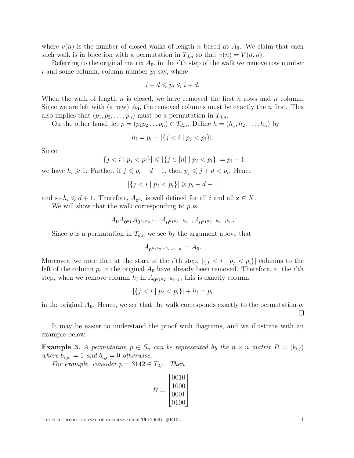where  $v(n)$  is the number of closed walks of length n based at  $A_0$ . We claim that each such walk is in bijection with a permutation in  $T_{d,n}$  so that  $v(n) = V(d, n)$ .

Referring to the original matrix  $A_0$ , in the *i*'th step of the walk we remove row number i and some column, column number  $p_i$  say, where

$$
i - d \leqslant p_i \leqslant i + d.
$$

When the walk of length n is closed, we have removed the first n rows and n column. Since we are left with (a new)  $A_0$ , the removed columns must be exactly the *n* first. This also implies that  $(p_1, p_2, \ldots, p_n)$  must be a permutation in  $T_{d,n}$ .

On the other hand, let  $p = (p_1p_2 \ldots p_n) \in T_{d,n}$ . Define  $h = (h_1, h_2, \ldots, h_n)$  by

$$
h_i = p_i - |\{j < i \mid p_j < p_i\}|.
$$

Since

$$
|\{j < i \mid p_j < p_i\}| \leqslant |\{j \in [n] \mid p_j < p_i\}| = p_i - 1
$$

we have  $h_i \geq 1$ . Further, if  $j \leq p_i - d - 1$ , then  $p_j \leq j + d < p_i$ . Hence

$$
|\{j < i \mid p_j < p_i\}| \geq p_i - d - 1
$$

and so  $h_i \leq d+1$ . Therefore,  $A_{\mathbf{z}^{h_i}}$  is well defined for all i and all  $\mathbf{z} \in X$ .

We will show that the walk corresponding to  $p$  is

$$
A_0A_{0^{h_1}}A_{0^{h_1h_2}}\cdots A_{0^{h_1h_2\cdots h_{n-1}}}A_{0^{h_1h_2\cdots h_{n-1}h_n}}.
$$

Since p is a permutation in  $T_{d,n}$  we see by the argument above that

$$
A_{\mathbf{0}^{h_1h_2\cdots h_{n-1}h_n}} = A_{\mathbf{0}}.
$$

Moreover, we note that at the start of the *i*'th step,  $|\{j \leq i \mid p_j < p_i\}|$  columns to the left of the column  $p_i$  in the original  $A_0$  have already been removed. Therefore, at the *i*'th step, when we remove column  $h_i$  in  $A_{\mathbf{0}^{h_1 h_2 \cdots h_{i-1}}}$ , this is exactly column

$$
|\{j < i \mid p_j < p_i\}| + h_i = p_i
$$

in the original  $A_0$ . Hence, we see that the walk corresponds exactly to the permutation p. ⊔

It may be easier to understand the proof with diagrams, and we illustrate with an example below.

**Example 3.** A permutation  $p \in S_n$  can be represented by the  $n \times n$  matrix  $B = (b_{i,j})$ where  $b_{i,p_i} = 1$  and  $b_{i,j} = 0$  otherwise.

For example, consider  $p = 3142 \in T_{2,4}$ . Then

$$
B = \begin{bmatrix} 0010 \\ 1000 \\ 0001 \\ 0100 \end{bmatrix}.
$$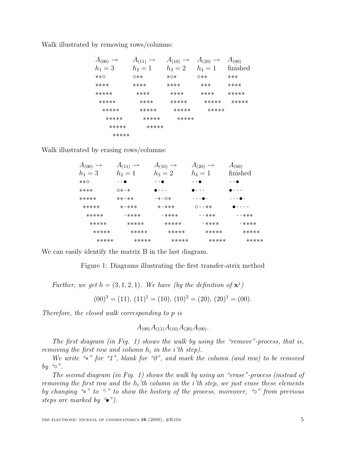Walk illustrated by removing rows/columns:

| $A_{(00)} \rightarrow$ | $A_{(11)} \rightarrow$ | $A_{(10)} \rightarrow$ | $A_{(20)} \rightarrow$ | $A_{(00)}$ |
|------------------------|------------------------|------------------------|------------------------|------------|
| $h_1 = 3$              | $h_2=1$                | $h_3 = 2$              | $h_4=1$                | finished   |
| $***O$                 | 0**                    | $*$ O $*$              | 0**                    | ***        |
| ****                   | ****                   | ****                   | ***                    | ****       |
| *****                  | ****                   | ****                   | ****                   | *****      |
| *****                  | ****                   | *****                  | *****                  | *****      |
| *****                  | *****                  | *****                  | *****                  |            |
| *****                  | *****                  | *****                  |                        |            |
| *****                  | *****                  |                        |                        |            |
| *****                  |                        |                        |                        |            |

Walk illustrated by erasing rows/columns:

| $A_{(00)} \rightarrow$ | $A_{(11)} \rightarrow$ | $A_{(10)} \rightarrow$  | $A_{(20)} \rightarrow$              | $A_{(00)}$            |
|------------------------|------------------------|-------------------------|-------------------------------------|-----------------------|
| $h_1=3$                | $h_2=1$                | $h_3 = 2$               | $h_4=1$                             | finished              |
| $***O$                 | $\cdot$ . $\bullet$    | $\cdot$ . $\bullet$     | $\cdot$ . $\bullet$                 | $\cdot$ . $\bullet$   |
| ****                   | $0***$                 | .                       | .                                   | .                     |
| *****                  | $***$ $**$             | $\cdot * \cdot \circ *$ | . <b>.</b> .                        | $\cdot \bullet \cdot$ |
| *****                  | $* \cdot * * *$        | $* \cdot * * *$         | $0 \cdot \cdot \cdot \times \times$ | $\cdots$              |
| *****                  | <b>.****</b>           | <b>· ****</b>           | $\cdot$ $\cdot$ ***                 | $\cdot$ ***           |
| *****                  | *****                  | *****                   | <b>.****</b>                        | <b>· ****</b>         |
| *****                  | *****                  | *****                   | *****                               | *****                 |
| *****                  | *****                  | *****                   | *****                               | *****                 |

We can easily identify the matrix B in the last diagram.

Figure 1: Diagrams illustrating the first transfer-atrix method

Further, we get  $h = (3, 1, 2, 1)$ . We have (by the definition of  $\mathbf{x}^{j}$ )

$$
(00)3 = (11), (11)1 = (10), (10)2 = (20), (20)1 = (00).
$$

Therefore, the closed walk corresponding to p is

$$
A_{(00)}A_{(11)}A_{(10)}A_{(20)}A_{(00)}
$$
.

The first diagram (in Fig. 1) shows the walk by using the "remove"-process, that is, removing the first row and column  $h_i$  in the *i*'th step).

We write "\*" for "1", blank for "0", and mark the column (and row) to be removed by " $\circ$ ".

The second diagram (in Fig. 1) shows the walk by using an "erase"-process (instead of removing the first row and the  $h_i$ 'th column in the *i*'th step, we just erase these elements by changing "\*" to "<sup>\*</sup> to show the history of the process, moreover, "<sup>o</sup>" from previous steps are marked by  $\mathscr{L}$ .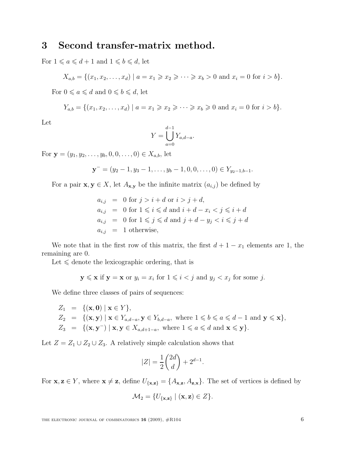### 3 Second transfer-matrix method.

For  $1\leqslant a\leqslant d+1$  and  $1\leqslant b\leqslant d,$  let

$$
X_{a,b} = \{(x_1, x_2, \dots, x_d) \mid a = x_1 \geq x_2 \geq \dots \geq x_b > 0 \text{ and } x_i = 0 \text{ for } i > b\}.
$$

For  $0 \le a \le d$  and  $0 \le b \le d$ , let

$$
Y_{a,b} = \{(x_1, x_2, \dots, x_d) \mid a = x_1 \geq x_2 \geq \dots \geq x_b \geq 0 \text{ and } x_i = 0 \text{ for } i > b\}.
$$

Let

$$
Y = \bigcup_{a=0}^{d-1} Y_{a,d-a}.
$$

For  $y = (y_1, y_2, \ldots, y_b, 0, 0, \ldots, 0) \in X_{a,b}$ , let

$$
\mathbf{y}^{-} = (y_2 - 1, y_3 - 1, \dots, y_b - 1, 0, 0, \dots, 0) \in Y_{y_2 - 1, b - 1}.
$$

For a pair  $\mathbf{x}, \mathbf{y} \in X$ , let  $A_{\mathbf{x}, \mathbf{y}}$  be the infinite matrix  $(a_{i,j})$  be defined by

$$
a_{i,j} = 0 \text{ for } j > i + d \text{ or } i > j + d,
$$
  
\n
$$
a_{i,j} = 0 \text{ for } 1 \leq i \leq d \text{ and } i + d - x_i < j \leq i + d
$$
  
\n
$$
a_{i,j} = 0 \text{ for } 1 \leq j \leq d \text{ and } j + d - y_j < i \leq j + d
$$
  
\n
$$
a_{i,j} = 1 \text{ otherwise,}
$$

We note that in the first row of this matrix, the first  $d + 1 - x_1$  elements are 1, the remaining are 0.

Let  $\leq$  denote the lexicographic ordering, that is

$$
y \leq x
$$
 if  $y = x$  or  $y_i = x_i$  for  $1 \leq i < j$  and  $y_j < x_j$  for some  $j$ .

We define three classes of pairs of sequences:

$$
Z_1 = \{(\mathbf{x}, \mathbf{0}) \mid \mathbf{x} \in Y\},
$$
  
\n
$$
Z_2 = \{(\mathbf{x}, \mathbf{y}) \mid \mathbf{x} \in Y_{a,d-a}, \mathbf{y} \in Y_{b,d-a}, \text{ where } 1 \leq b \leq a \leq d-1 \text{ and } \mathbf{y} \leq \mathbf{x}\},
$$
  
\n
$$
Z_3 = \{(\mathbf{x}, \mathbf{y}^-) \mid \mathbf{x}, \mathbf{y} \in X_{a,d+1-a}, \text{ where } 1 \leq a \leq d \text{ and } \mathbf{x} \leq \mathbf{y}\}.
$$

Let  $Z = Z_1 \cup Z_2 \cup Z_3$ . A relatively simple calculation shows that

$$
|Z| = \frac{1}{2} \binom{2d}{d} + 2^{d-1}.
$$

For  $\mathbf{x}, \mathbf{z} \in Y$ , where  $\mathbf{x} \neq \mathbf{z}$ , define  $U_{\{\mathbf{x},\mathbf{z}\}} = \{A_{\mathbf{x},\mathbf{z}}, A_{\mathbf{z},\mathbf{x}}\}$ . The set of vertices is defined by

$$
\mathcal{M}_2 = \{U_{\{\mathbf{x},\mathbf{z}\}} \mid (\mathbf{x},\mathbf{z}) \in Z\}.
$$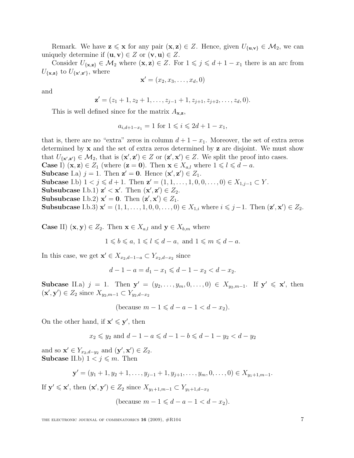Remark. We have  $z \leq x$  for any pair  $(x, z) \in Z$ . Hence, given  $U_{\{u,v\}} \in M_2$ , we can uniquely determine if  $(\mathbf{u}, \mathbf{v}) \in Z$  or  $(\mathbf{v}, \mathbf{u}) \in Z$ .

Consider  $U_{\{\mathbf{x},\mathbf{z}\}} \in \mathcal{M}_2$  where  $(\mathbf{x},\mathbf{z}) \in Z$ . For  $1 \leqslant j \leqslant d+1-x_1$  there is an arc from  $U_{\{\mathbf{x},\mathbf{z}\}}$  to  $U_{\{\mathbf{x}',\mathbf{z}'\}}$ , where

$$
\mathbf{x}' = (x_2, x_3, \dots, x_d, 0)
$$

and

$$
\mathbf{z}'=(z_1+1,z_2+1,\ldots,z_{j-1}+1,z_{j+1},z_{j+2},\ldots,z_d,0).
$$

This is well defined since for the matrix  $A_{\mathbf{x},\mathbf{z}}$ ,

$$
a_{i,d+1-x_1} = 1
$$
 for  $1 \le i \le 2d+1-x_1$ ,

that is, there are no "extra" zeros in column  $d + 1 - x_1$ . Moreover, the set of extra zeros determined by x and the set of extra zeros determined by z are disjoint. We must show that  $U_{\{\mathbf{x}',\mathbf{z}'\}} \in \mathcal{M}_2$ , that is  $(\mathbf{x}',\mathbf{z}') \in Z$  or  $(\mathbf{z}',\mathbf{x}') \in Z$ . We split the proof into cases. **Case** I)  $(\mathbf{x}, \mathbf{z}) \in Z_1$  (where  $(\mathbf{z} = \mathbf{0})$ ). Then  $\mathbf{x} \in X_{a,l}$  where  $1 \leq l \leq d - a$ . Subcase I.a)  $j = 1$ . Then  $\mathbf{z}' = \mathbf{0}$ . Hence  $(\mathbf{x}', \mathbf{z}') \in Z_1$ . Subcase I.b)  $1 < j \le d+1$ . Then  $z' = (1, 1, \ldots, 1, 0, 0, \ldots, 0) \in X_{1, j-1} \subset Y$ . Subsubcase I.b.1)  $z' < x'$ . Then  $(x', z') \in Z_2$ . Subsubcase I.b.2)  $x' = 0$ . Then  $(z', x') \in Z_1$ . Subsubcase I.b.3)  $x' = (1, 1, ..., 1, 0, 0, ..., 0) \in X_{1,i}$  where  $i \leq j-1$ . Then  $(z', x') \in Z_2$ .

**Case II**)  $(\mathbf{x}, \mathbf{y}) \in Z_2$ . Then  $\mathbf{x} \in X_{a,l}$  and  $\mathbf{y} \in X_{b,m}$  where

$$
1 \leqslant b \leqslant a, \ 1 \leqslant l \leqslant d - a, \text{ and } 1 \leqslant m \leqslant d - a.
$$

In this case, we get  $\mathbf{x}' \in X_{x_2,d-1-a} \subset Y_{x_2,d-x_2}$  since

$$
d-1-a = d_1 - x_1 \leqslant d-1 - x_2 < d - x_2.
$$

Subcase II.a)  $j = 1$ . Then  $y' = (y_2, ..., y_m, 0, ..., 0) \in X_{y_2,m-1}$ . If  $y' \leq x'$ , then  $(\mathbf{x}', \mathbf{y}') \in Z_2$  since  $X_{y_2,m-1} \subset Y_{y_2,d-x_2}$ 

$$
(\text{because } m - 1 \leq d - a - 1 < d - x_2).
$$

On the other hand, if  $\mathbf{x}' \leq \mathbf{y}'$ , then

$$
x_2 \le y_2
$$
 and  $d - 1 - a \le d - 1 - b \le d - 1 - y_2 < d - y_2$ 

and so  $\mathbf{x}' \in Y_{x_2,d-y_2}$  and  $(\mathbf{y}', \mathbf{x}') \in Z_2$ . Subcase II.b)  $1 < j \leq m$ . Then

$$
\mathbf{y}' = (y_1 + 1, y_2 + 1, \dots, y_{j-1} + 1, y_{j+1}, \dots, y_m, 0, \dots, 0) \in X_{y_1 + 1, m-1}.
$$

If  $\mathbf{y}' \leq \mathbf{x}'$ , then  $(\mathbf{x}', \mathbf{y}') \in Z_2$  since  $X_{y_1+1,m-1} \subset Y_{y_1+1,d-x_2}$ 

(because 
$$
m-1 \leq d-a-1 < d-x_2
$$
).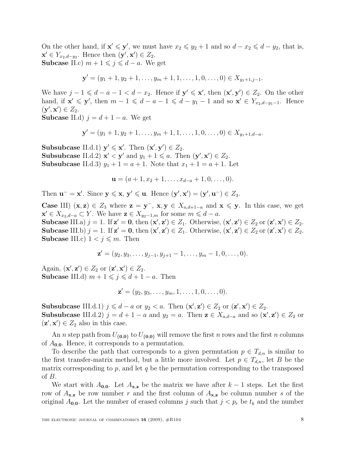On the other hand, if  $\mathbf{x}' \leq \mathbf{y}'$ , we must have  $x_2 \leq y_2 + 1$  and so  $d - x_2 \leq d - y_2$ , that is,  $\mathbf{x}' \in Y_{x_2,d-y_2}$ . Hence then  $(\mathbf{y}', \mathbf{x}') \in Z_2$ . **Subcase** II.c)  $m + 1 \leq j \leq d - a$ . We get

$$
\mathbf{y}' = (y_1 + 1, y_2 + 1, \dots, y_m + 1, 1, \dots, 1, 0, \dots, 0) \in X_{y_1 + 1, j - 1}.
$$

We have  $j-1 \leq d-a-1 < d-x_2$ . Hence if  $\mathbf{y}' \leq \mathbf{x}'$ , then  $(\mathbf{x}', \mathbf{y}') \in Z_2$ . On the other hand, if  $\mathbf{x}' \leq \mathbf{y}'$ , then  $m-1 \leq d-a-1 \leq d-y_1-1$  and so  $\mathbf{x}' \in Y_{x_2,d-y_1-1}$ . Hence  $(\mathbf{y}', \mathbf{x}') \in Z_2.$ 

**Subcase** II.d)  $j = d + 1 - a$ . We get

$$
\mathbf{y}' = (y_1 + 1, y_2 + 1, \dots, y_m + 1, 1, \dots, 1, 0, \dots, 0) \in X_{y_1 + 1, d - a}.
$$

Subsubcase II.d.1)  $y' \le x'$ . Then  $(x', y') \in Z_2$ . Subsubcase II.d.2)  $\mathbf{x}' < \mathbf{y}'$  and  $y_1 + 1 \le a$ . Then  $(\mathbf{y}', \mathbf{x}') \in Z_2$ . **Subsubcase** II.d.3)  $y_1 + 1 = a + 1$ . Note that  $x_1 + 1 = a + 1$ . Let

$$
\mathbf{u} = (a+1, x_2+1, \dots, x_{d-a}+1, 0, \dots, 0).
$$

Then  $\mathbf{u}^- = \mathbf{x}'$ . Since  $\mathbf{y} \leqslant \mathbf{x}$ ,  $\mathbf{y}' \leqslant \mathbf{u}$ . Hence  $(\mathbf{y}', \mathbf{x}') = (\mathbf{y}', \mathbf{u}^-) \in Z_3$ .

**Case III)**  $(x, z) \in Z_3$  where  $z = y^{-}$ ,  $x, y \in X_{a,d+1-a}$  and  $x \leq y$ . In this case, we get  $\mathbf{x}' \in X_{x_2,d-a} \subset Y$ . We have  $\mathbf{z} \in X_{y_2-1,m}$  for some  $m \leqslant d-a$ . Subcase III.a)  $j = 1$ . If  $z' = 0$ , then  $(x', z') \in Z_1$ . Otherwise,  $(x', z') \in Z_2$  or  $(z', x') \in Z_2$ . Subcase III.b)  $j = 1$ . If  $\mathbf{z}' = \mathbf{0}$ , then  $(\mathbf{x}', \mathbf{z}') \in Z_1$ . Otherwise,  $(\mathbf{x}', \mathbf{z}') \in Z_2$  or  $(\mathbf{z}', \mathbf{x}') \in Z_2$ . Subcase III.c)  $1 < j \leq m$ . Then

$$
\mathbf{z}' = (y_2, y_3, \dots, y_{j-1}, y_{j+1} - 1, \dots, y_m - 1, 0, \dots, 0).
$$

Again,  $(\mathbf{x}', \mathbf{z}') \in Z_2$  or  $(\mathbf{z}', \mathbf{x}') \in Z_2$ . **Subcase** III.d)  $m + 1 \leqslant j \leqslant d + 1 - a$ . Then

$$
\mathbf{z}' = (y_2, y_3, \dots, y_m, 1, \dots, 1, 0, \dots, 0).
$$

Subsubcase III.d.1)  $j \leq d - a$  or  $y_2 < a$ . Then  $(\mathbf{x}', \mathbf{z}') \in Z_2$  or  $(\mathbf{z}', \mathbf{x}') \in Z_2$ . **Subsubcase** III.d.2)  $j = d + 1 - a$  and  $y_2 = a$ . Then  $z \in X_{a,d-a}$  and so  $(x', z') \in Z_2$  or  $(z', x') \in Z_2$  also in this case.

An *n* step path from  $U_{\{0,0\}}$  to  $U_{\{0,0\}}$  will remove the first *n* rows and the first *n* columns of  $A_{0,0}$ . Hence, it corresponds to a permutation.

To describe the path that corresponds to a given permutation  $p \in T_{d,n}$  is similar to the first transfer-matrix method, but a little more involved. Let  $p \in T_{d,n}$ , let B be the matrix corresponding to  $p$ , and let  $q$  be the permutation corresponding to the transposed of B.

We start with  $A_{0,0}$ . Let  $A_{\mathbf{x},\mathbf{z}}$  be the matrix we have after  $k-1$  steps. Let the first row of  $A_{\mathbf{x},\mathbf{z}}$  be row number r and the first column of  $A_{\mathbf{x},\mathbf{z}}$  be column number s of the original  $A_{0,0}$ . Let the number of erased columns j such that  $j < p_r$  be  $t_k$  and the number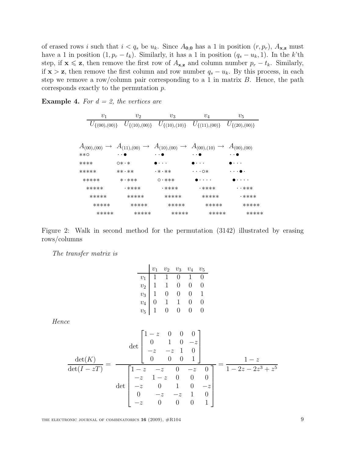of erased rows i such that  $i < q_s$  be  $u_k$ . Since  $A_{0,0}$  has a 1 in position  $(r, p_r)$ ,  $A_{\mathbf{x},\mathbf{z}}$  must have a 1 in position  $(1, p_r - t_k)$ . Similarly, it has a 1 in position  $(q_s - u_k, 1)$ . In the k'th step, if  $\mathbf{x} \leq \mathbf{z}$ , then remove the first row of  $A_{\mathbf{x},\mathbf{z}}$  and column number  $p_r - t_k$ . Similarly, if  $x > z$ , then remove the first column and row number  $q_s - u_k$ . By this process, in each step we remove a row/column pair corresponding to a 1 in matrix  $B$ . Hence, the path corresponds exactly to the permutation p.

**Example 4.** For  $d = 2$ , the vertices are

| $v_1$               |              | v <sub>2</sub>  | $v_3$                                                                                                                   | $v_4$         | $v_5$               |
|---------------------|--------------|-----------------|-------------------------------------------------------------------------------------------------------------------------|---------------|---------------------|
| $U_{\{(00),(00)\}}$ |              |                 | $U_{\{(10),(00)\}}$ $U_{\{(10),(10)\}}$ $U_{\{(11),(00)\}}$                                                             |               | $U_{\{(20),(00)\}}$ |
|                     |              |                 |                                                                                                                         |               |                     |
|                     |              |                 | $A_{(00),(00)} \rightarrow A_{(11),(00)} \rightarrow A_{(10),(00)} \rightarrow A_{(00),(10)} \rightarrow A_{(00),(00)}$ |               |                     |
| $***O$              |              |                 |                                                                                                                         |               |                     |
| ****                | $O* \cdot *$ |                 |                                                                                                                         |               |                     |
| *****               |              | $***$ $**$      | <b>• * • **</b>                                                                                                         | ・・・の*         |                     |
| *****               |              | $* \cdot * * *$ | $0 \cdot * * *$                                                                                                         |               |                     |
| *****               |              | <b>• ****</b>   | <b>• ****</b>                                                                                                           | <b>• ****</b> | • • ***             |
| *****               |              | *****           | *****                                                                                                                   | *****         | • ****              |
| *****               |              | *****           | *****                                                                                                                   | *****         | *****               |
| *****               |              | *****           | *****                                                                                                                   | *****         | *****               |



The transfer matrix is

|  | $\begin{array}{c cccc} v_1 & v_2 & v_3 & v_4 & v_5 \\ \hline v_1 & 1 & 1 & 0 & 1 & 0 \\ v_2 & 1 & 1 & 0 & 0 & 0 \\ v_3 & 1 & 0 & 0 & 0 & 1 \\ v_4 & 0 & 1 & 1 & 0 & 0 \\ v_5 & 1 & 0 & 0 & 0 & 0 \\ \end{array}$ |  |  |
|--|------------------------------------------------------------------------------------------------------------------------------------------------------------------------------------------------------------------|--|--|

Hence

$$
\frac{\det(K)}{\det(I - zT)} = \frac{\det(K)}{\det(I - zT)} = \frac{\det(K)}{\det(I - zT)} = \frac{\det(K)}{\det(I - zT)} = \frac{1 - z}{1 - z - 2z - 2z + 25}
$$
\n
$$
\det\begin{bmatrix}\n1 - z & -z & 0 & -z & 0 \\
-z & 1 - z & 0 & 0 & 0 \\
-z & 0 & 1 & 0 & -z \\
0 & -z & -z & 1 & 0 \\
-z & 0 & 0 & 0 & 1\n\end{bmatrix} = \frac{1 - z}{1 - 2z - 2z^3 + z^5}
$$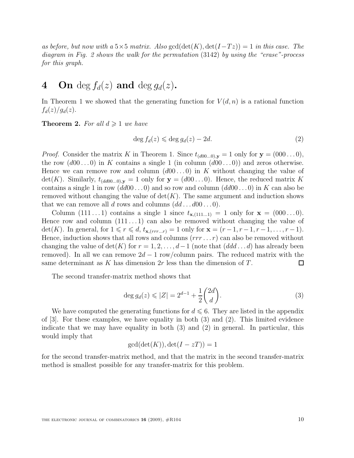as before, but now with a 5×5 matrix. Also gcd( $\det(K)$ ,  $\det(I-Tz)$ ) = 1 in this case. The diagram in Fig. 2 shows the walk for the permutation (3142) by using the "erase"-process for this graph.

# 4 On deg  $f_d(z)$  and deg  $g_d(z)$ .

In Theorem 1 we showed that the generating function for  $V(d, n)$  is a rational function  $f_d(z)/g_d(z)$ .

**Theorem 2.** For all  $d \geq 1$  we have

$$
\deg f_d(z) \leqslant \deg g_d(z) - 2d. \tag{2}
$$

*Proof.* Consider the matrix K in Theorem 1. Since  $t_{(d00...0),y} = 1$  only for  $y = (000...0)$ , the row  $(d00...0)$  in K contains a single 1 (in column  $(d00...0)$ ) and zeros otherwise. Hence we can remove row and column  $(d00...0)$  in K without changing the value of  $\det(K)$ . Similarly,  $t_{(dd00...0),y} = 1$  only for  $y = (d00...0)$ . Hence, the reduced matrix K contains a single 1 in row  $(dd00\ldots0)$  and so row and column  $(dd00\ldots0)$  in K can also be removed without changing the value of  $\det(K)$ . The same argument and induction shows that we can remove all d rows and columns  $(dd\dots d00\dots 0)$ .

Column  $(111 \dots 1)$  contains a single 1 since  $t_{\mathbf{x},(111\dots 1)} = 1$  only for  $\mathbf{x} = (000 \dots 0)$ . Hence row and column  $(111 \dots 1)$  can also be removed without changing the value of det(K). In general, for  $1 \le r \le d$ ,  $t_{\mathbf{x},(rrr...r)} = 1$  only for  $\mathbf{x} = (r-1, r-1, r-1, \ldots, r-1)$ . Hence, induction shows that all rows and columns  $(rrr \dots r)$  can also be removed without changing the value of det(K) for  $r = 1, 2, \ldots, d-1$  (note that  $(dd \ldots d)$  has already been removed). In all we can remove  $2d - 1$  row/column pairs. The reduced matrix with the same determinant as K has dimension  $2r$  less than the dimension of T.  $\Box$ 

The second transfer-matrix method shows that

$$
\deg g_d(z) \leq |Z| = 2^{d-1} + \frac{1}{2} \binom{2d}{d}.
$$
\n(3)

We have computed the generating functions for  $d \leq 6$ . They are listed in the appendix of  $[3]$ . For these examples, we have equality in both  $(3)$  and  $(2)$ . This limited evidence indicate that we may have equality in both (3) and (2) in general. In particular, this would imply that

$$
\gcd(\det(K)), \det(I - zT)) = 1
$$

for the second transfer-matrix method, and that the matrix in the second transfer-matrix method is smallest possible for any transfer-matrix for this problem.